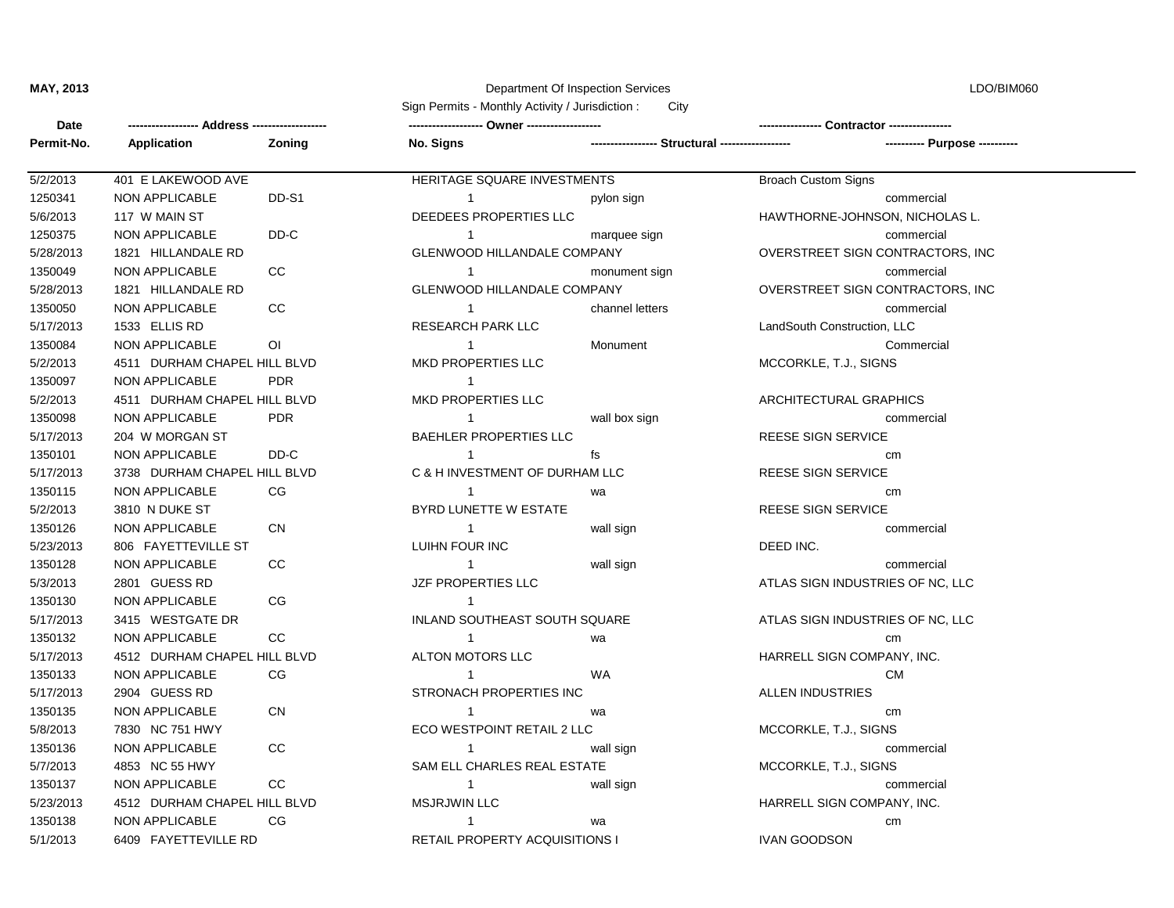## **MAY, 2013** Department Of Inspection Services LDO/BIM060

| Sign Permits - Monthly Activity / Jurisdiction:<br>City |                              |                                 |                                       |                                                 |                                  |
|---------------------------------------------------------|------------------------------|---------------------------------|---------------------------------------|-------------------------------------------------|----------------------------------|
| Date                                                    |                              | --- Address ------------------- |                                       |                                                 | - Contractor --                  |
| Permit-No.                                              | Application                  | Zoning                          | No. Signs                             | ----------------- Structural ------------------ | ---- Purpose ----------          |
| 5/2/2013                                                | 401 E LAKEWOOD AVE           |                                 | HERITAGE SQUARE INVESTMENTS           |                                                 | <b>Broach Custom Signs</b>       |
| 1250341                                                 | <b>NON APPLICABLE</b>        | DD-S1                           | $\overline{1}$                        | pylon sign                                      | commercial                       |
| 5/6/2013                                                | 117 W MAIN ST                |                                 | DEEDEES PROPERTIES LLC                |                                                 | HAWTHORNE-JOHNSON, NICHOLAS L.   |
| 1250375                                                 | <b>NON APPLICABLE</b>        | DD-C                            | $\overline{1}$                        | marquee sign                                    | commercial                       |
| 5/28/2013                                               | 1821 HILLANDALE RD           |                                 | <b>GLENWOOD HILLANDALE COMPANY</b>    |                                                 | OVERSTREET SIGN CONTRACTORS, INC |
| 1350049                                                 | NON APPLICABLE               | CC.                             | $\overline{1}$                        | monument sign                                   | commercial                       |
| 5/28/2013                                               | 1821 HILLANDALE RD           |                                 | <b>GLENWOOD HILLANDALE COMPANY</b>    |                                                 | OVERSTREET SIGN CONTRACTORS, INC |
| 1350050                                                 | <b>NON APPLICABLE</b>        | CC                              | $\overline{1}$                        | channel letters                                 | commercial                       |
| 5/17/2013                                               | 1533 ELLIS RD                |                                 | <b>RESEARCH PARK LLC</b>              |                                                 | LandSouth Construction, LLC      |
| 1350084                                                 | <b>NON APPLICABLE</b>        | ΟI                              | $\overline{1}$                        | Monument                                        | Commercial                       |
| 5/2/2013                                                | 4511 DURHAM CHAPEL HILL BLVD |                                 | <b>MKD PROPERTIES LLC</b>             |                                                 | MCCORKLE, T.J., SIGNS            |
| 1350097                                                 | NON APPLICABLE               | <b>PDR</b>                      | $\overline{1}$                        |                                                 |                                  |
| 5/2/2013                                                | 4511 DURHAM CHAPEL HILL BLVD |                                 | MKD PROPERTIES LLC                    |                                                 | ARCHITECTURAL GRAPHICS           |
| 1350098                                                 | <b>NON APPLICABLE</b>        | <b>PDR</b>                      | $\overline{1}$                        | wall box sign                                   | commercial                       |
| 5/17/2013                                               | 204 W MORGAN ST              |                                 | <b>BAEHLER PROPERTIES LLC</b>         |                                                 | <b>REESE SIGN SERVICE</b>        |
| 1350101                                                 | <b>NON APPLICABLE</b>        | DD-C                            | $\overline{1}$                        | fs                                              | cm                               |
| 5/17/2013                                               | 3738 DURHAM CHAPEL HILL BLVD |                                 | C & H INVESTMENT OF DURHAM LLC        |                                                 | <b>REESE SIGN SERVICE</b>        |
| 1350115                                                 | <b>NON APPLICABLE</b>        | CG                              | $\overline{1}$                        | wa                                              | cm                               |
| 5/2/2013                                                | 3810 N DUKE ST               |                                 | BYRD LUNETTE W ESTATE                 |                                                 | <b>REESE SIGN SERVICE</b>        |
| 1350126                                                 | NON APPLICABLE               | CN                              | $\overline{1}$                        | wall sign                                       | commercial                       |
| 5/23/2013                                               | 806 FAYETTEVILLE ST          |                                 | LUIHN FOUR INC                        |                                                 | DEED INC.                        |
| 1350128                                                 | <b>NON APPLICABLE</b>        | CC.                             | $\overline{1}$                        | wall sign                                       | commercial                       |
| 5/3/2013                                                | 2801 GUESS RD                |                                 | JZF PROPERTIES LLC                    |                                                 | ATLAS SIGN INDUSTRIES OF NC, LLC |
| 1350130                                                 | <b>NON APPLICABLE</b>        | CG                              | $\overline{1}$                        |                                                 |                                  |
| 5/17/2013                                               | 3415 WESTGATE DR             |                                 | INLAND SOUTHEAST SOUTH SQUARE         |                                                 | ATLAS SIGN INDUSTRIES OF NC, LLC |
| 1350132                                                 | <b>NON APPLICABLE</b>        | CC.                             | $\overline{1}$                        | wa                                              | cm                               |
| 5/17/2013                                               | 4512 DURHAM CHAPEL HILL BLVD |                                 | ALTON MOTORS LLC                      |                                                 | HARRELL SIGN COMPANY, INC.       |
| 1350133                                                 | <b>NON APPLICABLE</b>        | CG                              | 1                                     | <b>WA</b>                                       | <b>CM</b>                        |
| 5/17/2013                                               | 2904 GUESS RD                |                                 | STRONACH PROPERTIES INC               |                                                 | <b>ALLEN INDUSTRIES</b>          |
| 1350135                                                 | NON APPLICABLE               | <b>CN</b>                       | $\overline{1}$                        | wa                                              | cm                               |
| 5/8/2013                                                | 7830 NC 751 HWY              |                                 | ECO WESTPOINT RETAIL 2 LLC            |                                                 | MCCORKLE, T.J., SIGNS            |
| 1350136                                                 | <b>NON APPLICABLE</b>        | CC.                             | $\overline{1}$                        | wall sign                                       | commercial                       |
| 5/7/2013                                                | 4853 NC 55 HWY               |                                 | SAM ELL CHARLES REAL ESTATE           |                                                 | MCCORKLE, T.J., SIGNS            |
| 1350137                                                 | <b>NON APPLICABLE</b>        | cc                              | -1                                    | wall sign                                       | commercial                       |
| 5/23/2013                                               | 4512 DURHAM CHAPEL HILL BLVD |                                 | <b>MSJRJWIN LLC</b>                   |                                                 | HARRELL SIGN COMPANY, INC.       |
| 1350138                                                 | <b>NON APPLICABLE</b>        | CG                              | -1                                    | wa                                              | cm                               |
| 5/1/2013                                                | 6409 FAYETTEVILLE RD         |                                 | <b>RETAIL PROPERTY ACQUISITIONS I</b> |                                                 | <b>IVAN GOODSON</b>              |